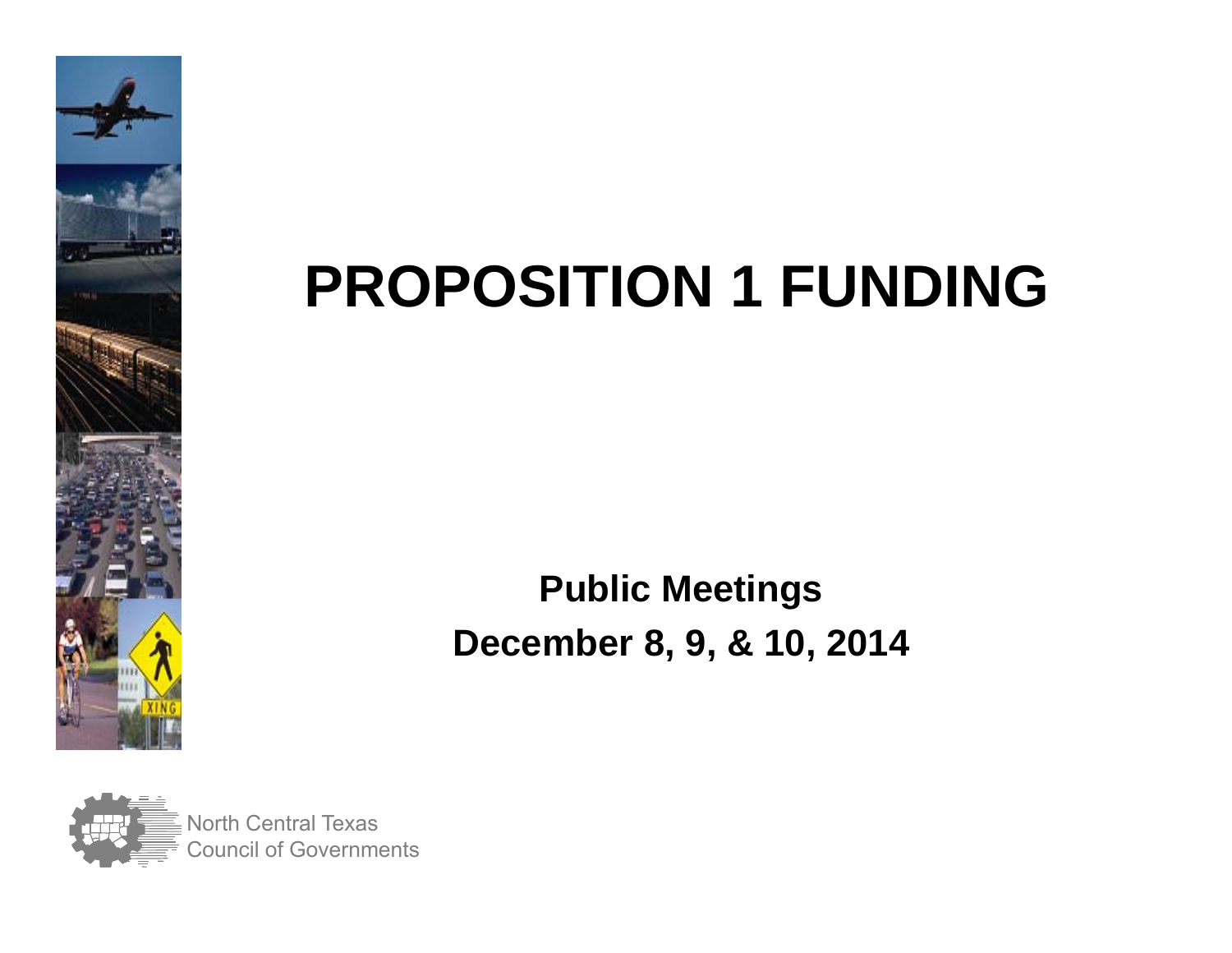

## **PROPOSITION 1 FUNDING**

#### **Public Meetings December 8, 9, & 10, 2014**

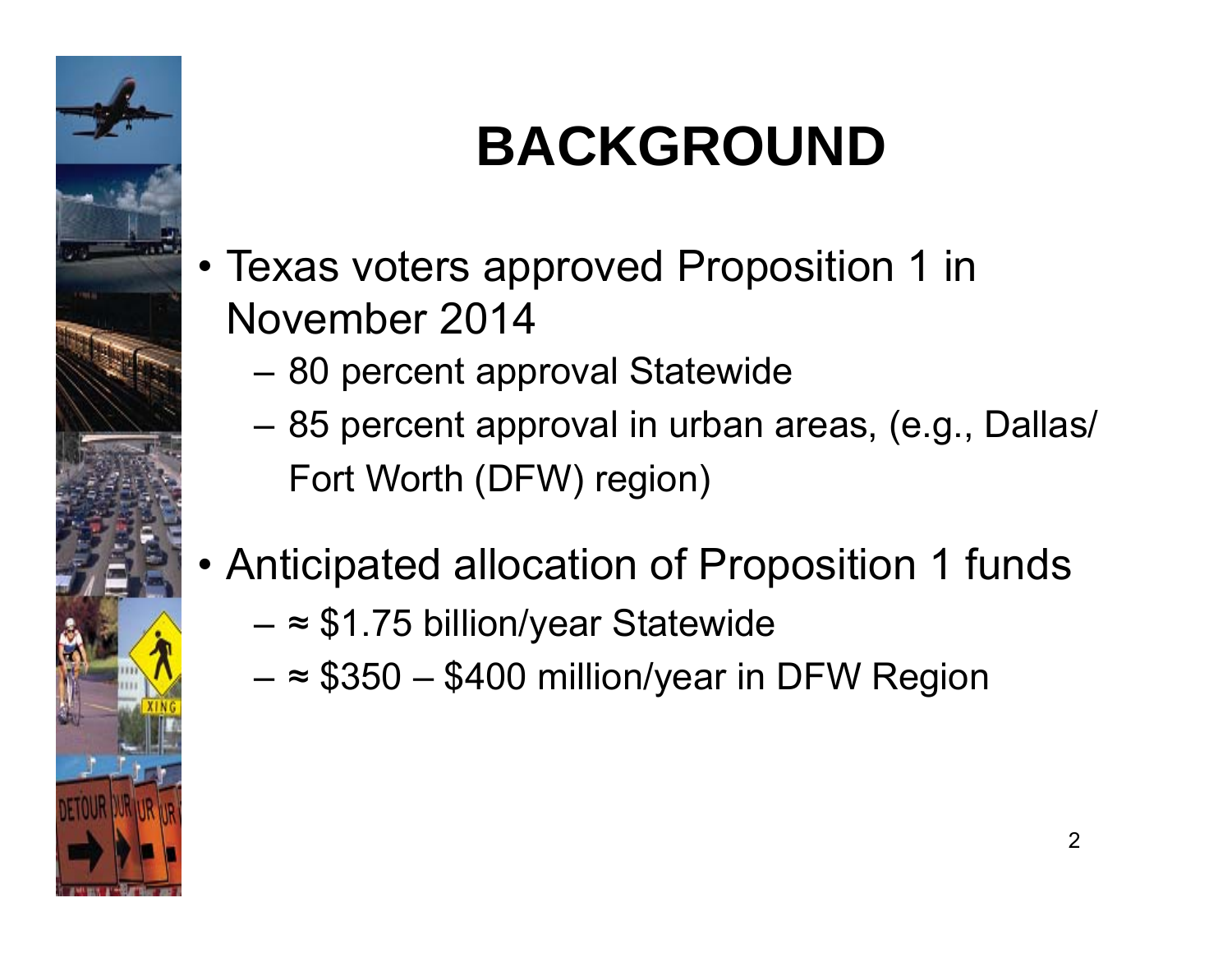

## **BACKGROUND**

- Texas voters approved Proposition 1 in November 2014
	- 80 percent approval Statewide
	- 85 percent approval in urban areas, (e.g., Dallas/ Fort Worth (DFW) region)
- Anticipated allocation of Proposition 1 funds
	- <sup>≈</sup> \$1.75 billion/year Statewide
	- <sup>≈</sup> \$350 \$400 million/year in DFW Region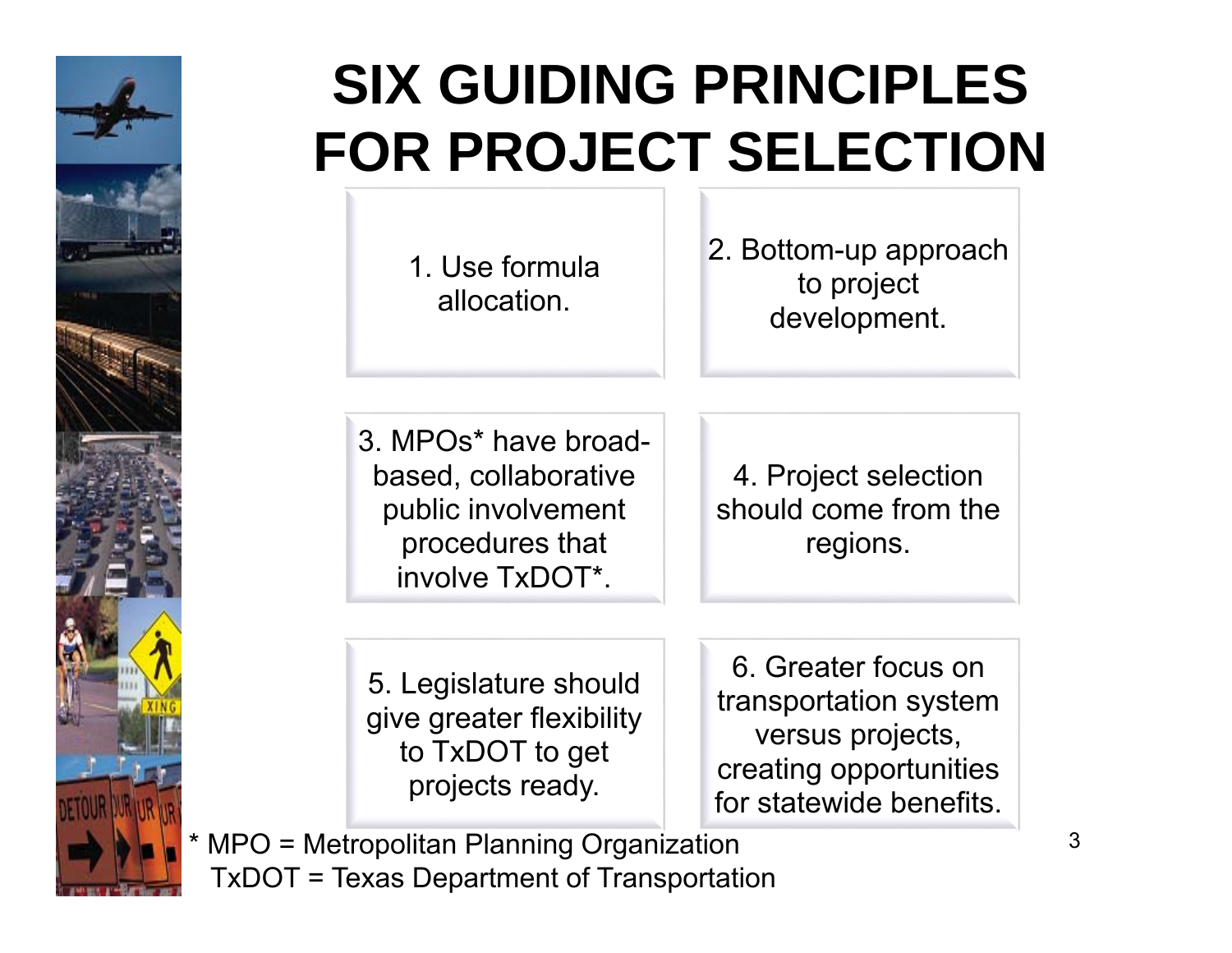

### **SIX GUIDING PRINCIPLES FOR PROJECT SELECTION**

1. Use formula allocation.

2. Bottom-up approach to project development.

3. MPOs\* have broadbased, collaborative public involvement procedures that involve TxDOT\*.

4. Project selection should come from the regions.

5. Legislature should give greater flexibility to TxDOT to get projects ready.

6. Greater focus on transportation system versus projects, creating opportunities for statewide benefits.

 \* MPO = Metropolitan Planning Organization TxDOT = Texas Department of Transportation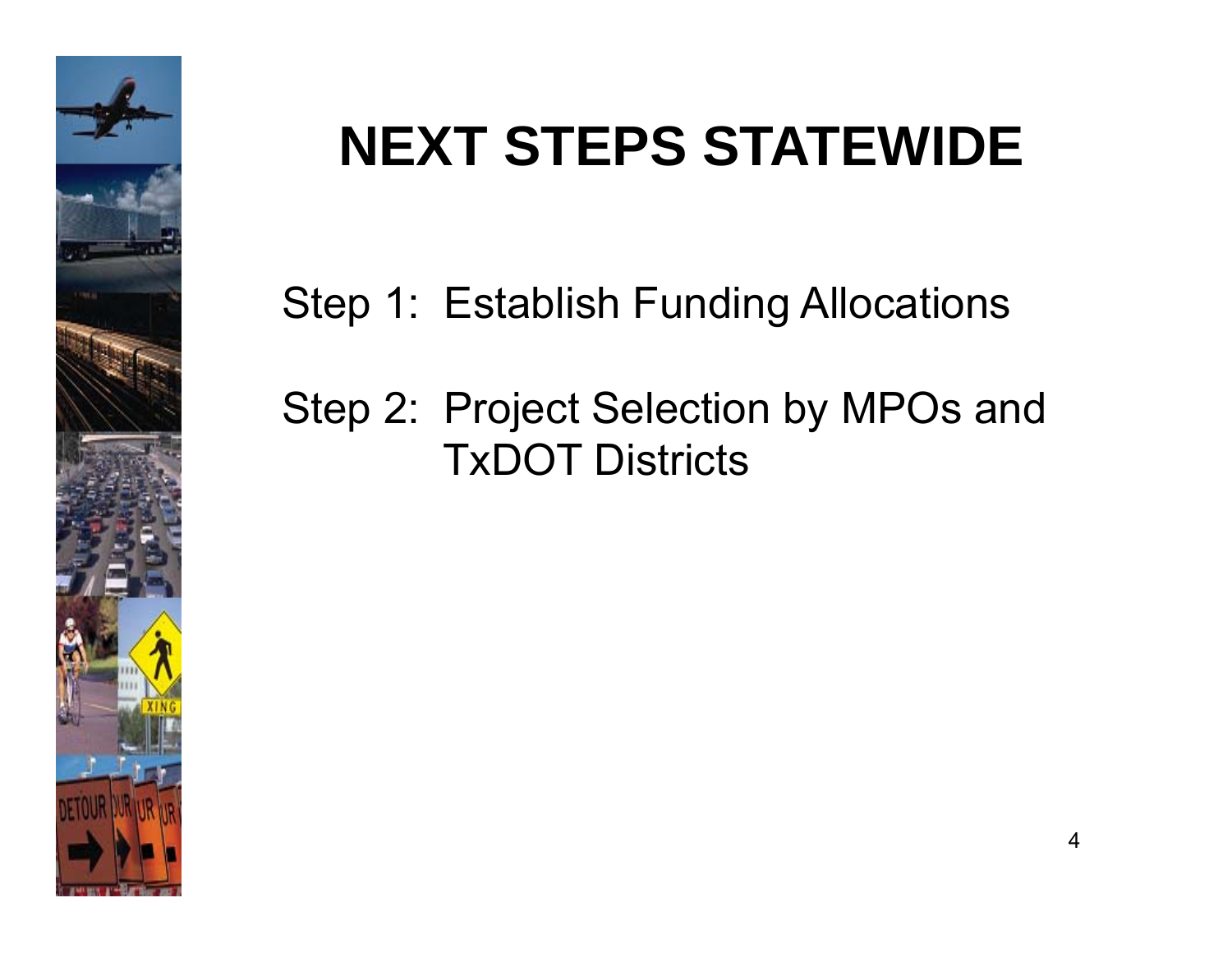

### **NEXT STEPS STATEWIDE**

Step 1: Establish Funding Allocations

#### Step 2: Project Selection by MPOs and TxDOT Districts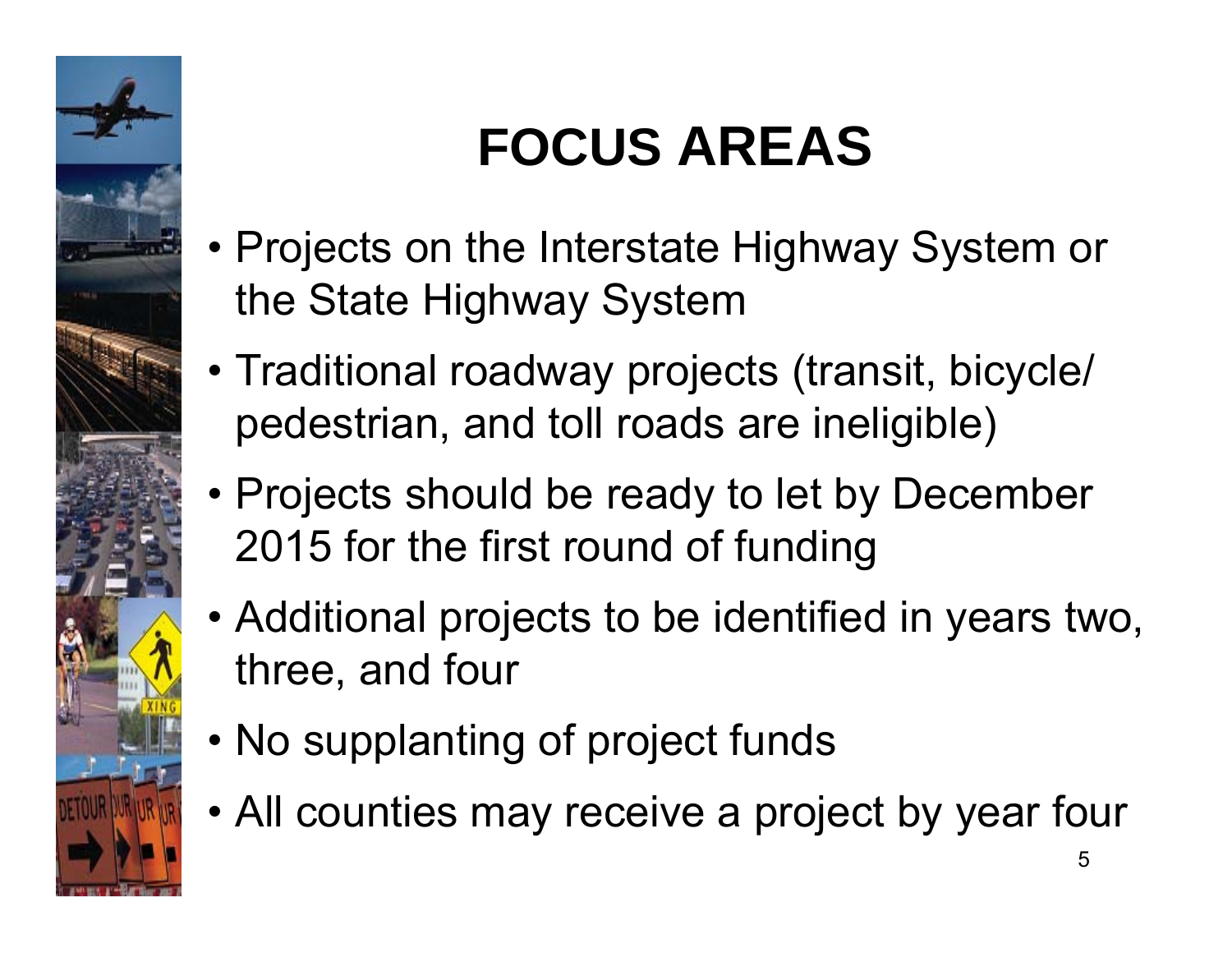

### **FOCUS AREAS**

- Projects on the Interstate Highway System or the State Highway System
- Traditional roadway projects (transit, bicycle/ pedestrian, and toll roads are ineligible)
- Projects should be ready to let by December 2015 for the first round of funding
- Additional projects to be identified in years two, three, and four
- No supplanting of project funds
- All counties may receive a project by year four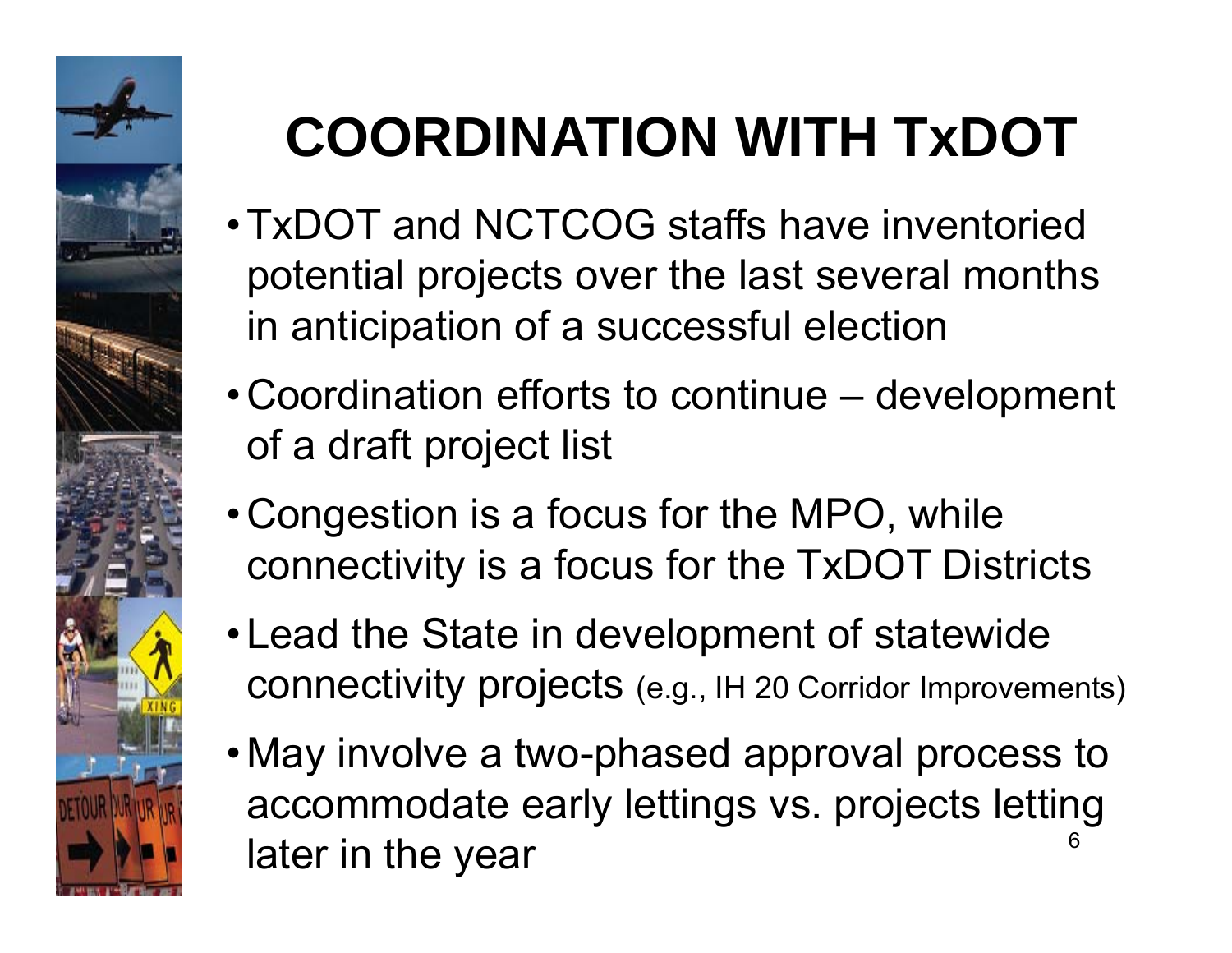

# **COORDINATION WITH TxDOT**

- TxDOT and NCTCOG staffs have inventoried potential projects over the last several months in anticipation of a successful election
- Coordination efforts to continue development of a draft project list
- Congestion is a focus for the MPO, while connectivity is a focus for the TxDOT Districts
- Lead the State in development of statewide connectivity projects (e.g., IH 20 Corridor Improvements)
- May involve a two-phased approval process to accommodate early lettings vs. projects letting later in the year 6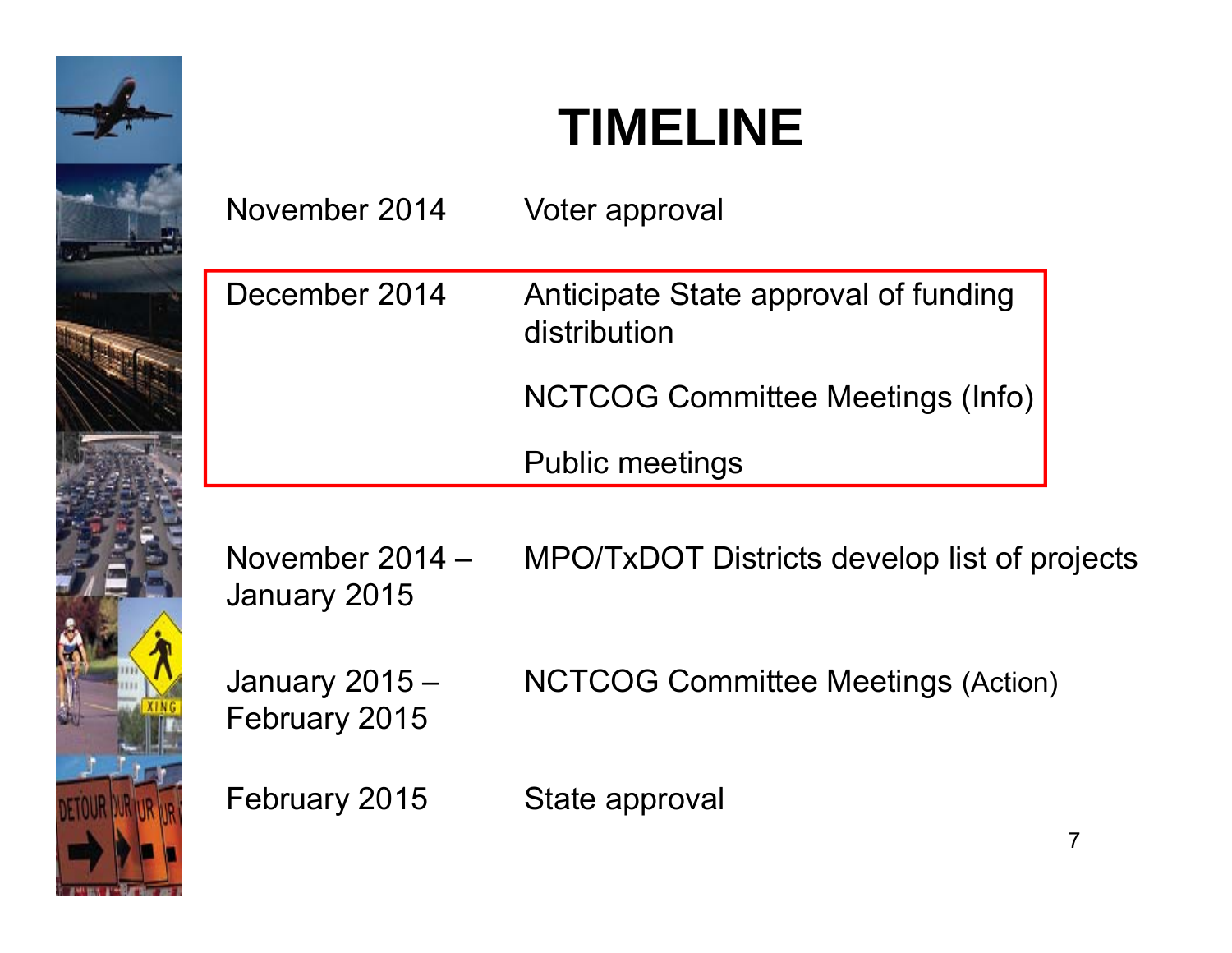

#### **TIMELINE**

| November 2014                   | Voter approval                                       |
|---------------------------------|------------------------------------------------------|
| December 2014                   | Anticipate State approval of funding<br>distribution |
|                                 | <b>NCTCOG Committee Meetings (Info)</b>              |
|                                 | <b>Public meetings</b>                               |
| November 2014 -<br>January 2015 | MPO/TxDOT Districts develop list of projects         |
| January 2015 -<br>February 2015 | <b>NCTCOG Committee Meetings (Action)</b>            |
| February 2015                   | State approval                                       |

7